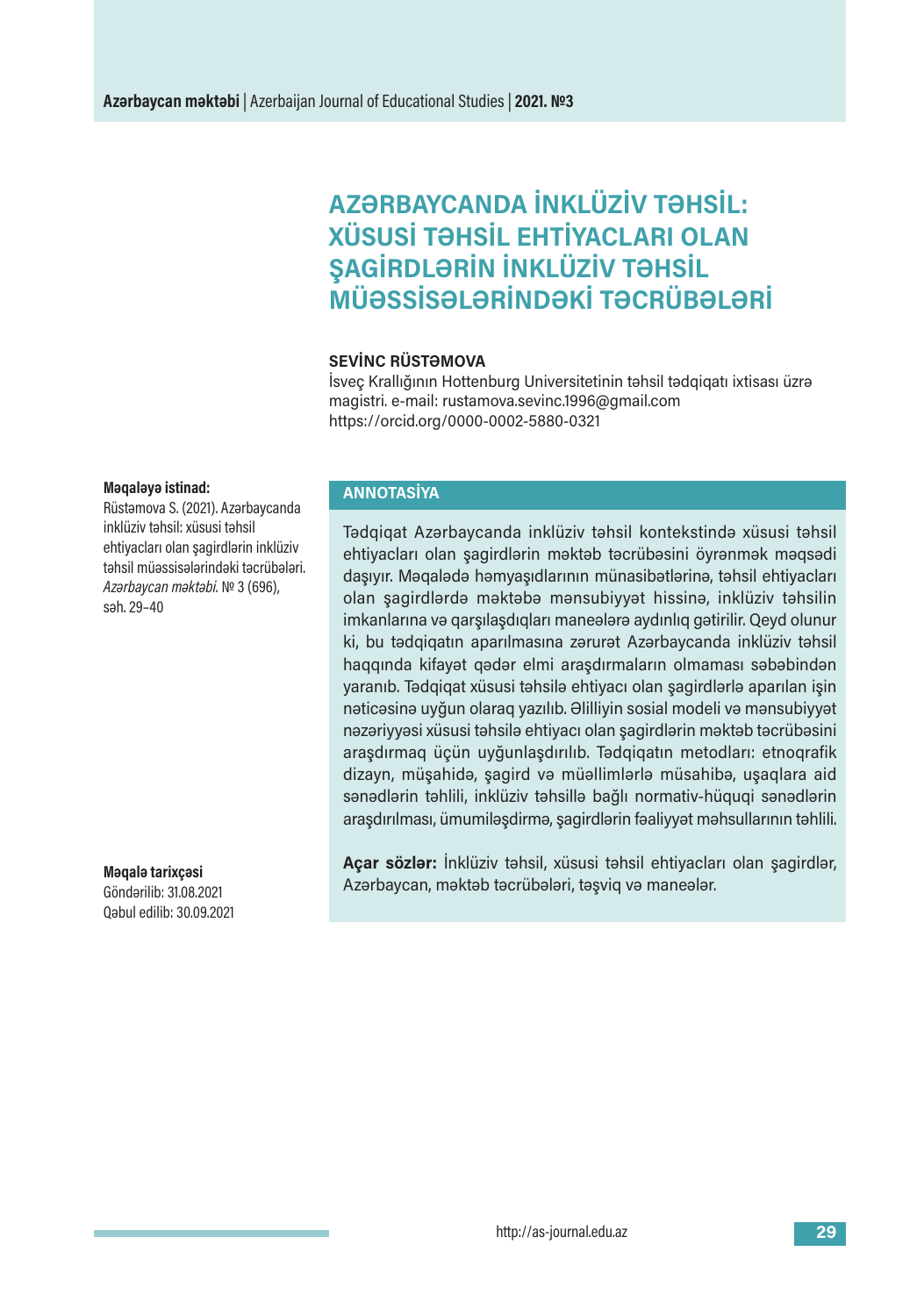# **AZƏRBAYCANDA İNKLÜZİV TƏHSİL: XÜSUSİ TƏHSİL EHTİYACLARI OLAN ŞAGİRDLƏRİN İNKLÜZİV TƏHSİL MÜƏSSİSƏLƏRİNDƏKİ TƏCRÜBƏLƏRİ**

### **SEVİNC RÜSTƏMOVA**

İsveç Krallığının Hottenburg Universitetinin təhsil tədqiqatı ixtisası üzrə magistri. e-mail: rustamova.sevinc.1996@gmail.com https://orcid.org/0000-0002-5880-0321

#### **Məqaləyə istinad:**

Rüstəmova S. (2021). Azərbaycanda inklüziv təhsil: xüsusi təhsil ehtiyacları olan şagirdlərin inklüziv təhsil müəssisələrindəki təcrübələri. *Azərbaycan məktəbi.* № 3(696), səh.29–40

**Məqalə tarixçəsi** Göndərilib:31.08.2021 Qəbul edilib:30.09.2021

## **ANNOTASİYA**

Tədqiqat Azərbaycanda inklüziv təhsil kontekstində xüsusi təhsil ehtiyacları olan şagirdlərin məktəb təcrübəsini öyrənmək məqsədi daşıyır. Məqalədə həmyaşıdlarının münasibətlərinə, təhsil ehtiyacları olan şagirdlərdə məktəbə mənsubiyyət hissinə, inklüziv təhsilin imkanlarına və qarşılaşdıqları maneələrə aydınlıq gətirilir. Qeyd olunur ki, bu tədqiqatın aparılmasına zərurət Azərbaycanda inklüziv təhsil haqqında kifayət qədər elmi araşdırmaların olmaması səbəbindən yaranıb. Tədqiqat xüsusi təhsilə ehtiyacı olan şagirdlərlə aparılan işin nəticəsinə uyğun olaraq yazılıb. Əlilliyin sosial modeli və mənsubiyyət nəzəriyyəsi xüsusi təhsilə ehtiyacı olan şagirdlərin məktəb təcrübəsini araşdırmaq üçün uyğunlaşdırılıb. Tədqiqatın metodları: etnoqrafik dizayn, müşahidə, şagird və müəllimlərlə müsahibə, uşaqlara aid sənədlərin təhlili, inklüziv təhsillə bağlı normativ-hüquqi sənədlərin araşdırılması, ümumiləşdirmə, şagirdlərin fəaliyyət məhsullarının təhlili.

**Açar sözlər:** İnklüziv təhsil, xüsusi təhsil ehtiyacları olan şagirdlər, Azərbaycan, məktəb təcrübələri, təşviq və maneələr.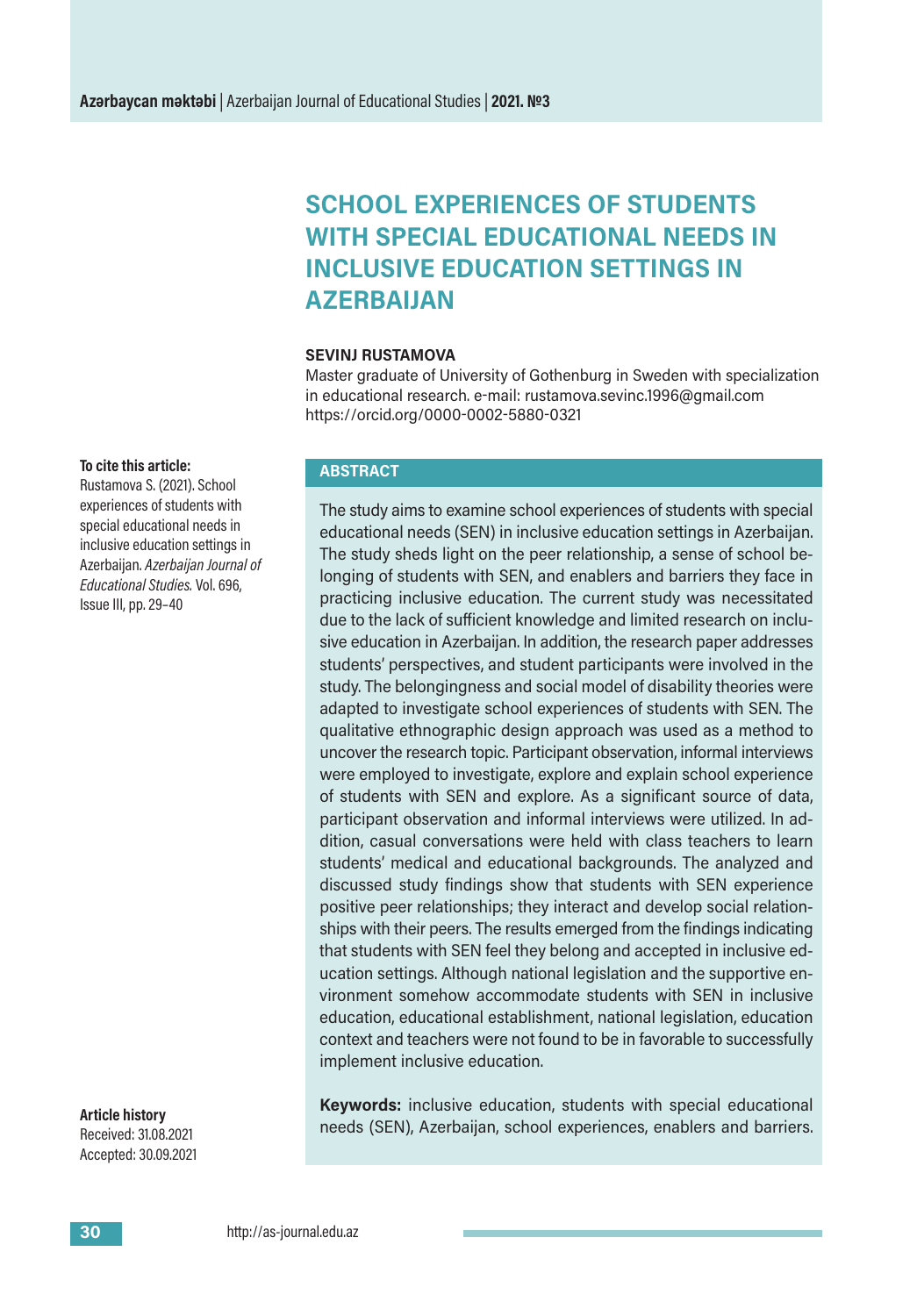# **SCHOOL EXPERIENCES OF STUDENTS WITH SPECIAL EDUCATIONAL NEEDS IN INCLUSIVE EDUCATION SETTINGS IN AZERBAIJAN**

#### **SEVINJ RUSTAMOVA**

Master graduate of University of Gothenburg in Sweden with specialization in educational research. e-mail: rustamova.sevinc.1996@gmail.com https://orcid.org/0000-0002-5880-0321

#### **To cite this article:**

Rustamova S. (2021). School experiences of students with special educational needs in inclusive education settings in Azerbaijan. *Azerbaijan Journal of Educational Studies.* Vol. 696, Issue III, pp.29–40

#### **ABSTRACT**

The study aims to examine school experiences of students with special educational needs (SEN) in inclusive education settings in Azerbaijan. The study sheds light on the peer relationship, a sense of school belonging of students with SEN, and enablers and barriers they face in practicing inclusive education. The current study was necessitated due to the lack of sufficient knowledge and limited research on inclusive education in Azerbaijan. In addition, the research paper addresses students' perspectives, and student participants were involved in the study. The belongingness and social model of disability theories were adapted to investigate school experiences of students with SEN. The qualitative ethnographic design approach was used as a method to uncover the research topic. Participant observation, informal interviews were employed to investigate, explore and explain school experience of students with SEN and explore. As a significant source of data, participant observation and informal interviews were utilized. In addition, casual conversations were held with class teachers to learn students' medical and educational backgrounds. The analyzed and discussed study findings show that students with SEN experience positive peer relationships; they interact and develop social relationships with their peers. The results emerged from the findings indicating that students with SEN feel they belong and accepted in inclusive education settings. Although national legislation and the supportive environment somehow accommodate students with SEN in inclusive education, educational establishment, national legislation, education context and teachers were not found to be in favorable to successfully implement inclusive education.

**Keywords:** inclusive education, students with special educational needs (SEN), Azerbaijan, school experiences, enablers and barriers.

**Article history** Received:31.08.2021 Accepted:30.09.2021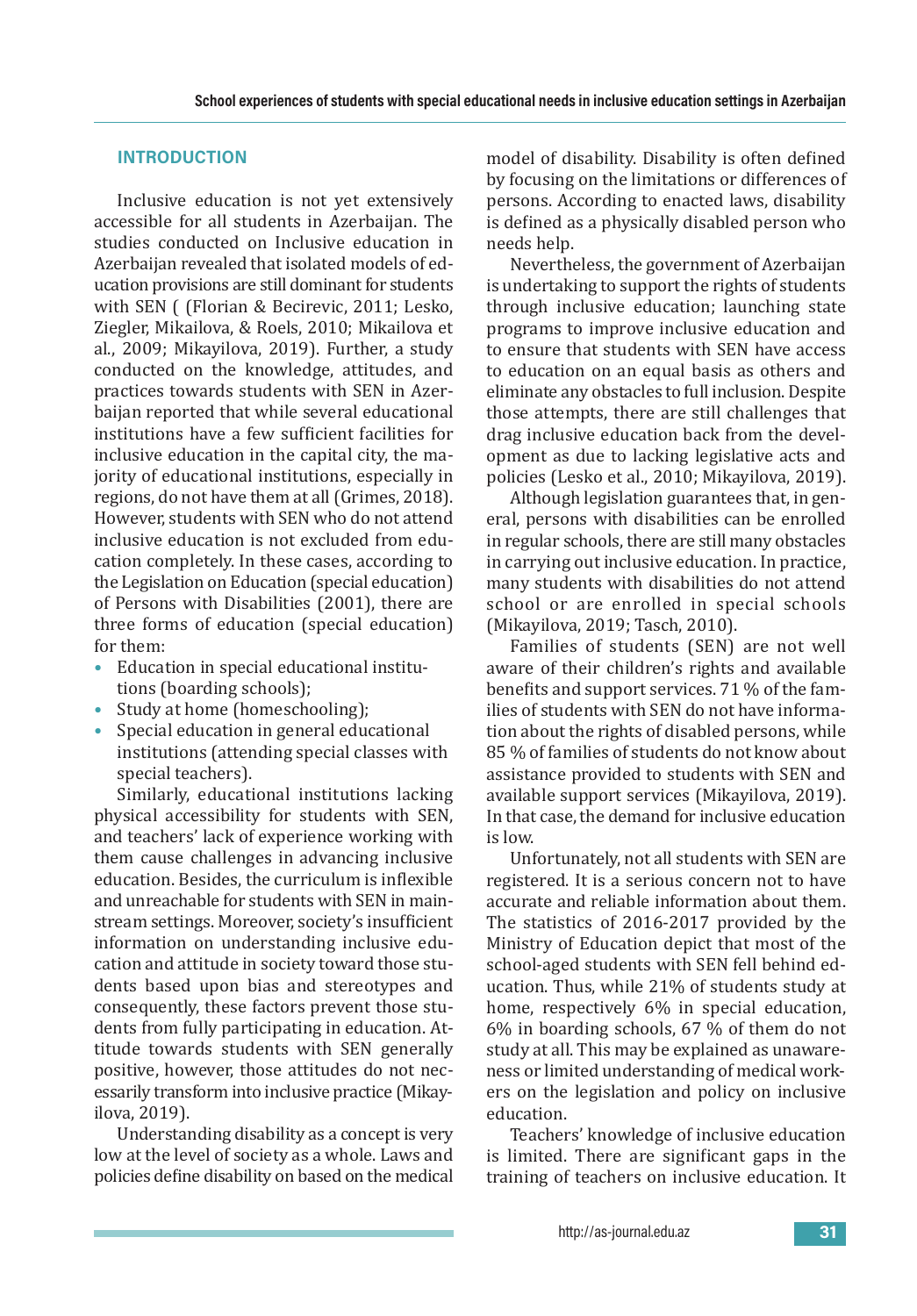## **INTRODUCTION**

Inclusive education is not yet extensively accessible for all students in Azerbaijan. The studies conducted on Inclusive education in Azerbaijan revealed that isolated models of education provisions are still dominant for students with SEN ( (Florian & Becirevic, 2011; Lesko, Ziegler, Mikailova, & Roels, 2010; Mikailova et al., 2009; Mikayilova, 2019). Further, a study conducted on the knowledge, attitudes, and practices towards students with SEN in Azerbaijan reported that while several educational institutions have a few sufficient facilities for inclusive education in the capital city, the majority of educational institutions, especially in regions, do not have them at all (Grimes, 2018). However, students with SEN who do not attend inclusive education is not excluded from education completely. In these cases, according to the Legislation on Education (special education) of Persons with Disabilities (2001), there are three forms of education (special education) for them:

- Education in special educational institutions (boarding schools);
- Study at home (homeschooling);
- Special education in general educational institutions (attending special classes with special teachers).

Similarly, educational institutions lacking physical accessibility for students with SEN, and teachers' lack of experience working with them cause challenges in advancing inclusive education. Besides, the curriculum is inflexible and unreachable for students with SEN in mainstream settings. Moreover, society's insufficient information on understanding inclusive education and attitude in society toward those students based upon bias and stereotypes and consequently, these factors prevent those students from fully participating in education. Attitude towards students with SEN generally positive, however, those attitudes do not necessarily transform into inclusive practice (Mikayilova, 2019).

Understanding disability as a concept is very low at the level of society as a whole. Laws and policies define disability on based on the medical model of disability. Disability is often defined by focusing on the limitations or differences of persons. According to enacted laws, disability is defined as a physically disabled person who needs help.

Nevertheless, the government of Azerbaijan is undertaking to support the rights of students through inclusive education; launching state programs to improve inclusive education and to ensure that students with SEN have access to education on an equal basis as others and eliminate any obstacles to full inclusion. Despite those attempts, there are still challenges that drag inclusive education back from the development as due to lacking legislative acts and policies (Lesko et al., 2010; Mikayilova, 2019).

Although legislation guarantees that, in general, persons with disabilities can be enrolled in regular schools, there are still many obstacles in carrying out inclusive education. In practice, many students with disabilities do not attend school or are enrolled in special schools (Mikayilova, 2019; Tasch, 2010).

Families of students (SEN) are not well aware of their children's rights and available benefits and support services. 71 % of the families of students with SEN do not have information about the rights of disabled persons, while 85 % of families of students do not know about assistance provided to students with SEN and available support services (Mikayilova, 2019). In that case, the demand for inclusive education is low.

Unfortunately, not all students with SEN are registered. It is a serious concern not to have accurate and reliable information about them. The statistics of 2016-2017 provided by the Ministry of Education depict that most of the school-aged students with SEN fell behind education. Thus, while 21% of students study at home, respectively 6% in special education, 6% in boarding schools, 67 % of them do not study at all. This may be explained as unawareness or limited understanding of medical workers on the legislation and policy on inclusive education.

Teachers' knowledge of inclusive education is limited. There are significant gaps in the training of teachers on inclusive education. It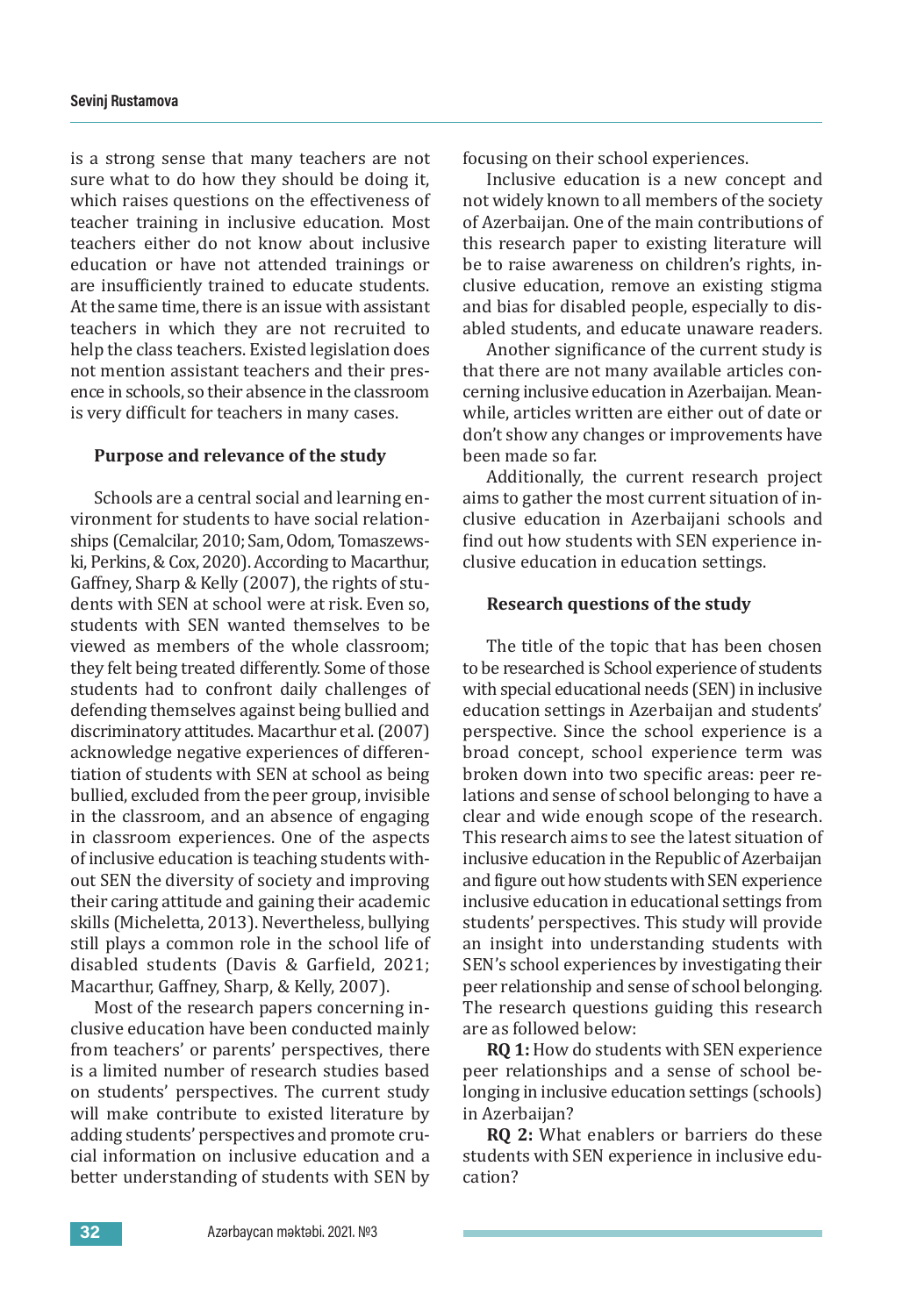is a strong sense that many teachers are not sure what to do how they should be doing it, which raises questions on the effectiveness of teacher training in inclusive education. Most teachers either do not know about inclusive education or have not attended trainings or are insufficiently trained to educate students. At the same time, there is an issue with assistant teachers in which they are not recruited to help the class teachers. Existed legislation does not mention assistant teachers and their presence in schools, so their absence in the classroom is very difficult for teachers in many cases.

#### **Purpose and relevance of the study**

Schools are a central social and learning environment for students to have social relationships (Cemalcilar, 2010; Sam, Odom, Tomaszewski, Perkins,&Cox, 2020). According to Macarthur, Gaffney, Sharp & Kelly (2007), the rights of students with SEN at school were at risk. Even so, students with SEN wanted themselves to be viewed as members of the whole classroom; they felt being treated differently. Some of those students had to confront daily challenges of defending themselves against being bullied and discriminatory attitudes. Macarthur et al.(2007) acknowledge negative experiences of differentiation of students with SEN at school as being bullied, excluded from the peer group, invisible in the classroom, and an absence of engaging in classroom experiences. One of the aspects of inclusive education is teaching students without SEN the diversity of society and improving their caring attitude and gaining their academic skills (Micheletta, 2013). Nevertheless, bullying still plays a common role in the school life of disabled students (Davis & Garfield, 2021; Macarthur, Gaffney, Sharp, & Kelly, 2007).

Most of the research papers concerning inclusive education have been conducted mainly from teachers' or parents' perspectives, there is a limited number of research studies based on students' perspectives. The current study will make contribute to existed literature by adding students' perspectives and promote crucial information on inclusive education and a better understanding of students with SEN by

focusing on their school experiences.

Inclusive education is a new concept and not widely known to all members of the society of Azerbaijan. One of the main contributions of this research paper to existing literature will be to raise awareness on children's rights, inclusive education, remove an existing stigma and bias for disabled people, especially to disabled students, and educate unaware readers.

Another significance of the current study is that there are not many available articles concerning inclusive education in Azerbaijan. Meanwhile, articles written are either out of date or don't show any changes or improvements have been made so far.

Additionally, the current research project aims to gather the most current situation of inclusive education in Azerbaijani schools and find out how students with SEN experience inclusive education in education settings.

#### **Research questions of the study**

The title of the topic that has been chosen to be researched is School experience of students with special educational needs (SEN) in inclusive education settings in Azerbaijan and students' perspective. Since the school experience is a broad concept, school experience term was broken down into two specific areas: peer relations and sense of school belonging to have a clear and wide enough scope of the research. This research aims to see the latest situation of inclusive education in the Republic of Azerbaijan and figure out how students with SEN experience inclusive education in educational settings from students' perspectives. This study will provide an insight into understanding students with SEN's school experiences by investigating their peer relationship and sense of school belonging. The research questions guiding this research are as followed below:

**RQ 1:** How do students with SEN experience peer relationships and a sense of school belonging in inclusive education settings (schools) in Azerbaijan?

**RQ 2:** What enablers or barriers do these students with SEN experience in inclusive education?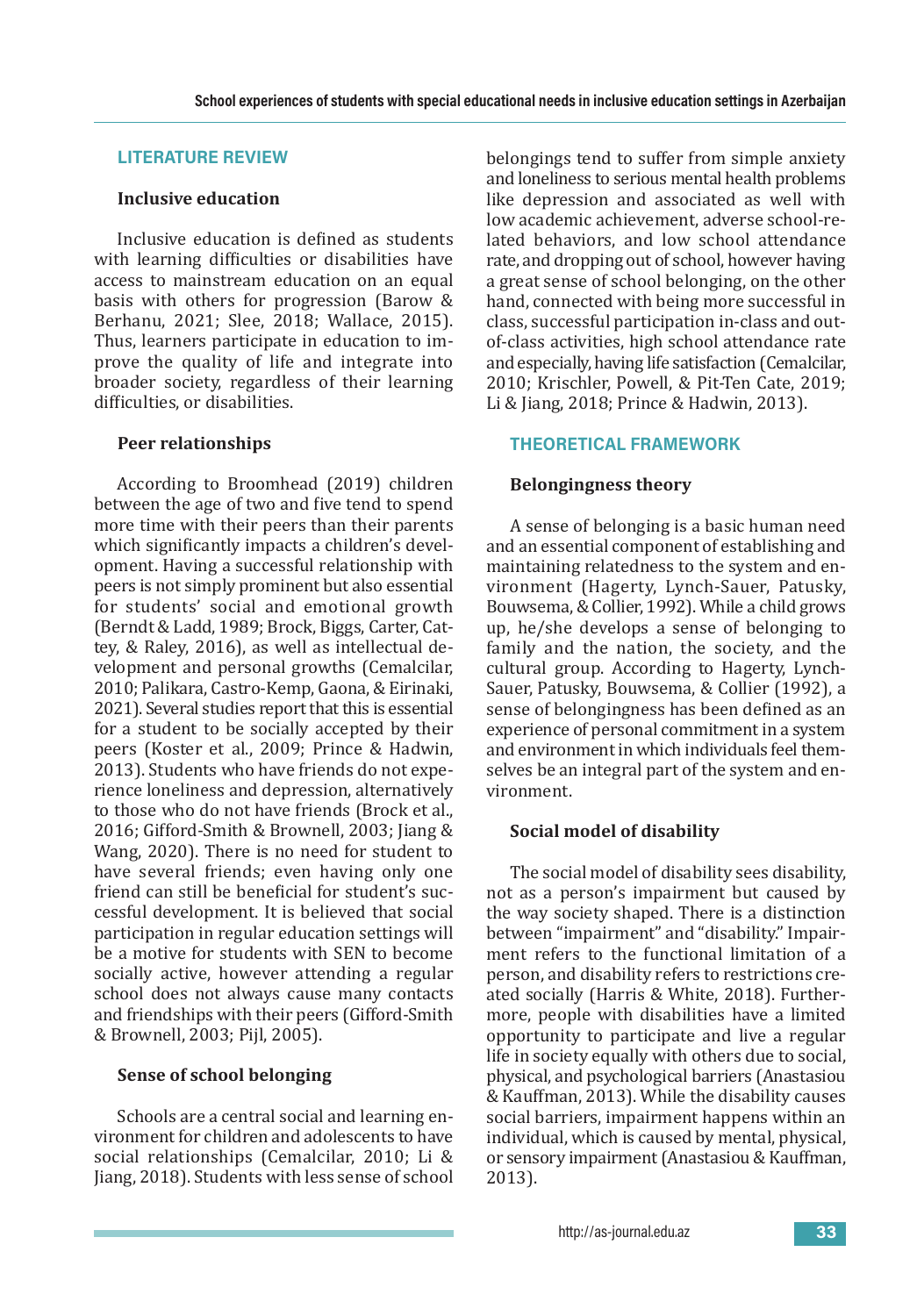## **LITERATURE REVIEW**

## **Inclusive education**

Inclusive education is defined as students with learning difficulties or disabilities have access to mainstream education on an equal basis with others for progression (Barow & Berhanu, 2021; Slee, 2018; Wallace, 2015). Thus, learners participate in education to improve the quality of life and integrate into broader society, regardless of their learning difficulties, or disabilities.

# **Peer relationships**

According to Broomhead (2019) children between the age of two and five tend to spend more time with their peers than their parents which significantly impacts a children's development. Having a successful relationship with peers is not simply prominent but also essential for students' social and emotional growth (Berndt & Ladd, 1989; Brock, Biggs, Carter, Cattey, & Raley, 2016), as well as intellectual development and personal growths (Cemalcilar, 2010; Palikara, Castro-Kemp, Gaona, & Eirinaki, 2021). Several studies report that this is essential for a student to be socially accepted by their peers (Koster et al., 2009; Prince & Hadwin, 2013). Students who have friends do not experience loneliness and depression, alternatively to those who do not have friends (Brock et al., 2016; Gifford-Smith & Brownell, 2003; Jiang & Wang, 2020). There is no need for student to have several friends; even having only one friend can still be beneficial for student's successful development. It is believed that social participation in regular education settings will be a motive for students with SEN to become socially active, however attending a regular school does not always cause many contacts and friendships with their peers (Gifford-Smith & Brownell, 2003; Pijl, 2005).

# **Sense of school belonging**

Schools are a central social and learning environment for children and adolescents to have social relationships (Cemalcilar, 2010; Li & Jiang, 2018). Students with less sense of school belongings tend to suffer from simple anxiety and loneliness to serious mental health problems like depression and associated as well with low academic achievement, adverse school-related behaviors, and low school attendance rate, and dropping out of school, however having a great sense of school belonging, on the other hand, connected with being more successful in class, successful participation in-class and outof-class activities, high school attendance rate and especially, having life satisfaction (Cemalcilar, 2010; Krischler, Powell, & Pit-Ten Cate, 2019; Li & Jiang, 2018; Prince & Hadwin, 2013).

# **THEORETICAL FRAMEWORK**

# **Belongingness theory**

A sense of belonging is a basic human need and an essential component of establishing and maintaining relatedness to the system and environment (Hagerty, Lynch-Sauer, Patusky, Bouwsema,&Collier, 1992). While a child grows up, he/she develops a sense of belonging to family and the nation, the society, and the cultural group. According to Hagerty, Lynch-Sauer, Patusky, Bouwsema, & Collier (1992), a sense of belongingness has been defined as an experience of personal commitment in a system and environment in which individuals feel themselves be an integral part of the system and environment.

# **Social model of disability**

The social model of disability sees disability, not as a person's impairment but caused by the way society shaped. There is a distinction between "impairment" and "disability."Impairment refers to the functional limitation of a person, and disability refers to restrictions created socially (Harris & White, 2018). Furthermore, people with disabilities have a limited opportunity to participate and live a regular life in society equally with others due to social, physical, and psychological barriers (Anastasiou & Kauffman, 2013). While the disability causes social barriers, impairment happens within an individual, which is caused by mental, physical, or sensory impairment(Anastasiou&Kauffman, 2013).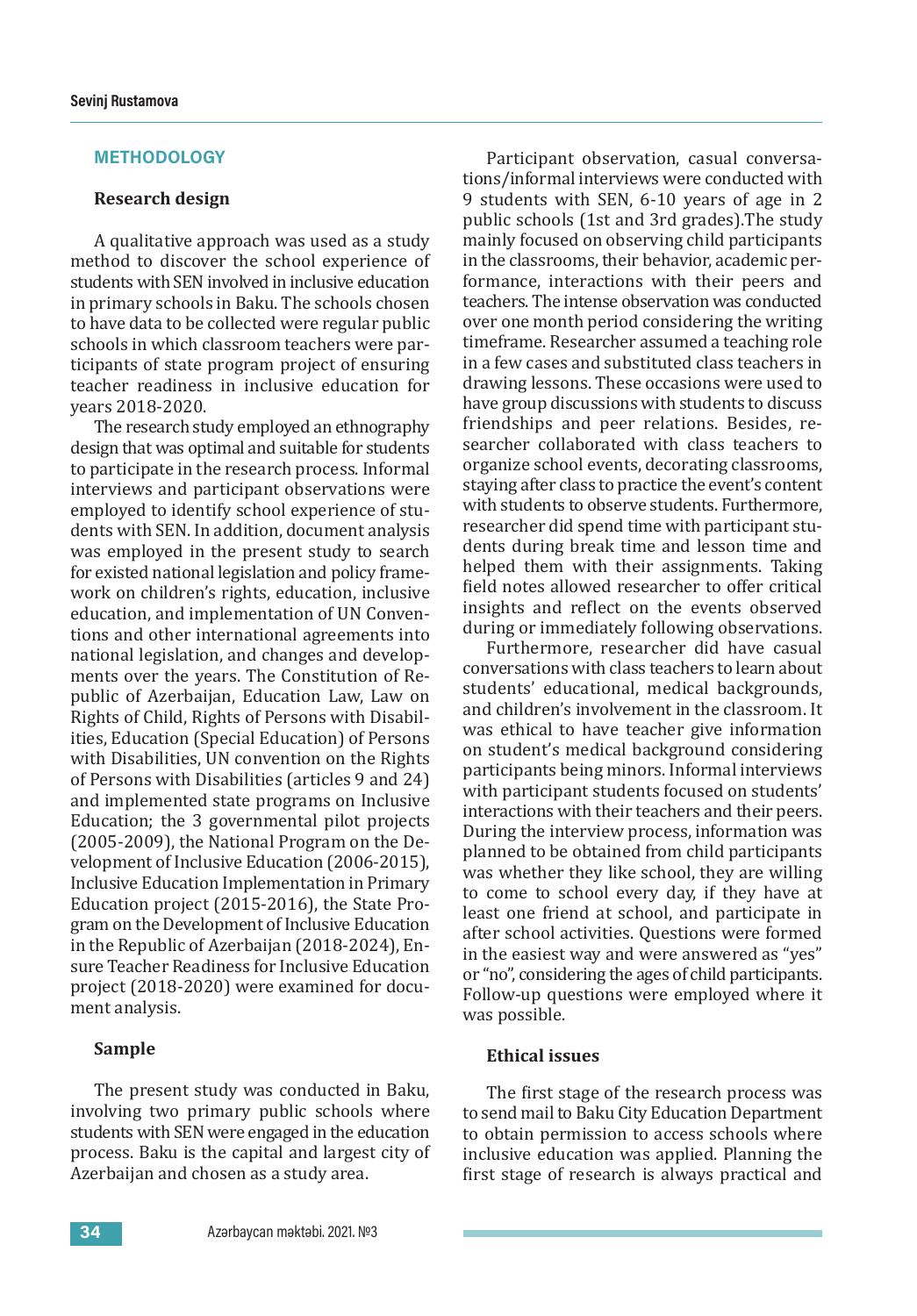### **METHODOLOGY**

## **Research design**

A qualitative approach was used as a study method to discover the school experience of students with SEN involved in inclusive education in primary schools in Baku. The schools chosen to have data to be collected were regular public schools in which classroom teachers were participants of state program project of ensuring teacher readiness in inclusive education for years 2018-2020.

The research study employed an ethnography design that was optimal and suitable for students to participate in the research process. Informal interviews and participant observations were employed to identify school experience of students with SEN. In addition, document analysis was employed in the present study to search for existed national legislation and policy framework on children's rights, education, inclusive education, and implementation of UN Conventions and other international agreements into national legislation, and changes and developments over the years. The Constitution of Republic of Azerbaijan, Education Law, Law on Rights of Child, Rights of Persons with Disabilities, Education (Special Education) of Persons with Disabilities, UN convention on the Rights of Persons with Disabilities (articles 9 and 24) and implemented state programs on Inclusive Education; the 3 governmental pilot projects (2005-2009), the National Program on the Development of Inclusive Education (2006-2015), Inclusive Education Implementation in Primary Education project (2015-2016), the State Program on the Development of Inclusive Education in the Republic of Azerbaijan (2018-2024), Ensure Teacher Readiness for Inclusive Education project (2018-2020) were examined for document analysis.

## **Sample**

The present study was conducted in Baku, involving two primary public schools where students with SEN were engaged in the education process. Baku is the capital and largest city of Azerbaijan and chosen as a study area.

Participant observation, casual conversations/informal interviews were conducted with 9 students with SEN, 6-10 years of age in 2 public schools (1st and 3rd grades).The study mainly focused on observing child participants in the classrooms, their behavior, academic performance, interactions with their peers and teachers. The intense observation was conducted over one month period considering the writing timeframe. Researcher assumed a teaching role in a few cases and substituted class teachers in drawing lessons. These occasions were used to have group discussions with students to discuss friendships and peer relations. Besides, researcher collaborated with class teachers to organize school events, decorating classrooms, staying after class to practice the event's content with students to observe students. Furthermore, researcher did spend time with participant students during break time and lesson time and helped them with their assignments. Taking field notes allowed researcher to offer critical insights and reflect on the events observed during or immediately following observations.

Furthermore, researcher did have casual conversations with class teachers to learn about students' educational, medical backgrounds, and children's involvement in the classroom. It was ethical to have teacher give information on student's medical background considering participants being minors. Informal interviews with participant students focused on students' interactions with their teachers and their peers. During the interview process, information was planned to be obtained from child participants was whether they like school, they are willing to come to school every day, if they have at least one friend at school, and participate in after school activities. Questions were formed in the easiest way and were answered as "yes" or "no", considering the ages of child participants. Follow-up questions were employed where it was possible.

#### **Ethical issues**

The first stage of the research process was to send mail to Baku City Education Department to obtain permission to access schools where inclusive education was applied. Planning the first stage of research is always practical and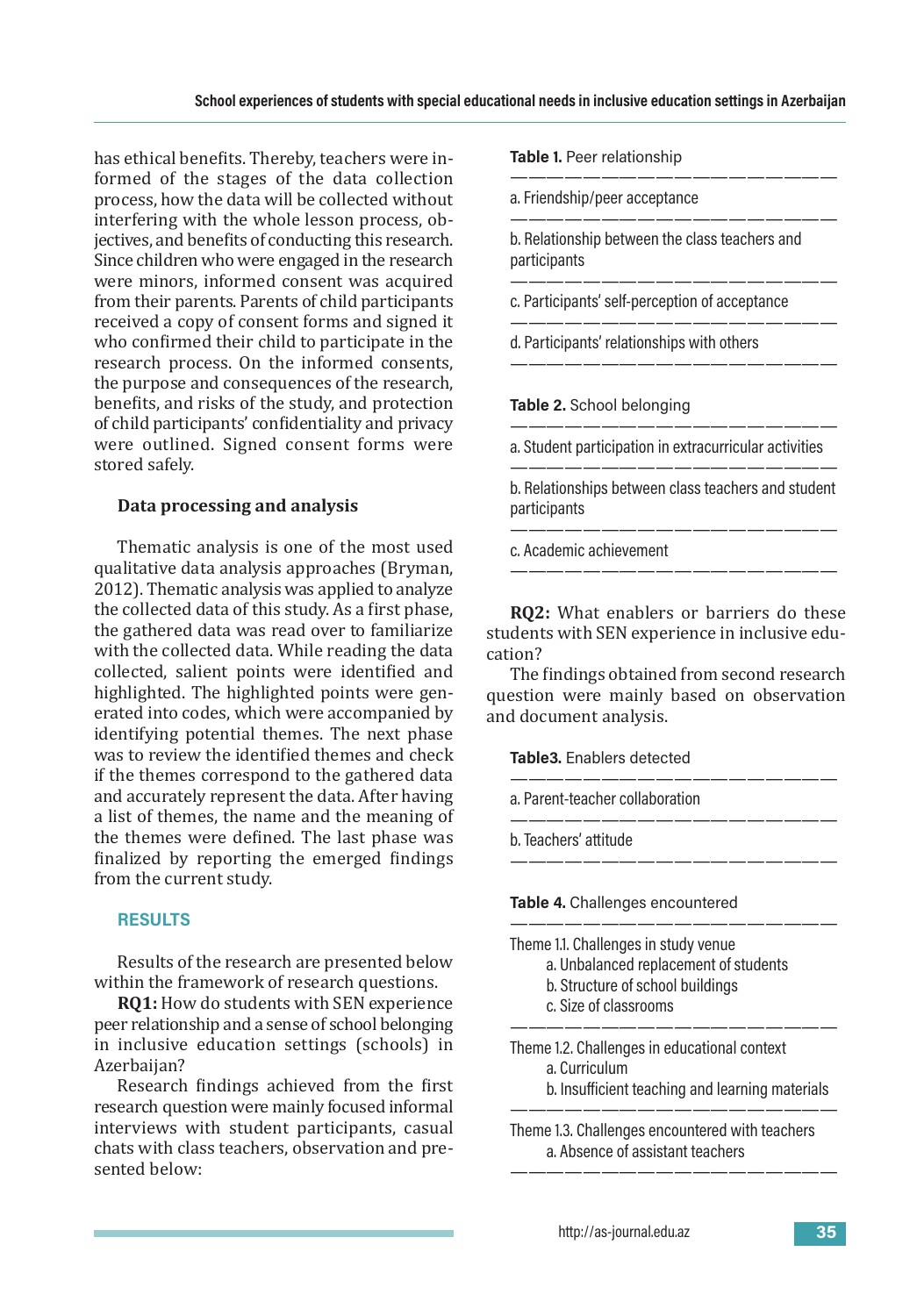has ethical benefits. Thereby, teachers were informed of the stages of the data collection process, how the data will be collected without interfering with the whole lesson process, objectives, and benefits of conducting this research. Since children who were engaged in the research were minors, informed consent was acquired from their parents. Parents of child participants received a copy of consent forms and signed it who confirmed their child to participate in the research process. On the informed consents, the purpose and consequences of the research, benefits, and risks of the study, and protection of child participants' confidentiality and privacy were outlined. Signed consent forms were stored safely.

## **Data processing and analysis**

Thematic analysis is one of the most used qualitative data analysis approaches (Bryman, 2012). Thematic analysis was applied to analyze the collected data of this study. As a first phase, the gathered data was read over to familiarize with the collected data. While reading the data collected, salient points were identified and highlighted. The highlighted points were generated into codes, which were accompanied by identifying potential themes. The next phase was to review the identified themes and check if the themes correspond to the gathered data and accurately represent the data. After having a list of themes, the name and the meaning of the themes were defined. The last phase was finalized by reporting the emerged findings from the current study.

## **RESULTS**

Results of the research are presented below within the framework of research questions.

**RQ1:** How do students with SEN experience peer relationship and a sense of school belonging in inclusive education settings (schools) in Azerbaijan?

Research findings achieved from the first research question were mainly focused informal interviews with student participants, casual chats with class teachers, observation and presented below:

**Table 1.** Peer relationship

a.Friendship/peer acceptance

————————————————— b. Relationship between the class teachers and participants

——————————————————

——————————————————

——————————————————

c. Participants' self-perception of acceptance

————————————————— d. Participants' relationships with others

## **Table 2.** School belonging

————————————————— a. Student participation in extracurricular activities ——————————————————

b. Relationships between class teachers and student participants

——————————————————

————————————————— c. Academic achievement

**RQ2:** What enablers or barriers do these students with SEN experience in inclusive education?

The findings obtained from second research question were mainly based on observation and document analysis.

——————————————————

——————————————————

——————————————————

——————————————————

**Table3.** Enablers detected

a. Parent-teacher collaboration

b. Teachers' attitude

**Table 4.** Challenges encountered

| Theme 1.1. Challenges in study venue  |  |
|---------------------------------------|--|
| a. Unbalanced replacement of students |  |
| b. Structure of school buildings      |  |

c. Size of classrooms

—————————————————— Theme 1.2. Challenges in educational context

a. Curriculum

b. Insufficient teaching and learning materials

Theme 1.3. Challenges encountered with teachers a. Absence of assistant teachers

——————————————————

——————————————————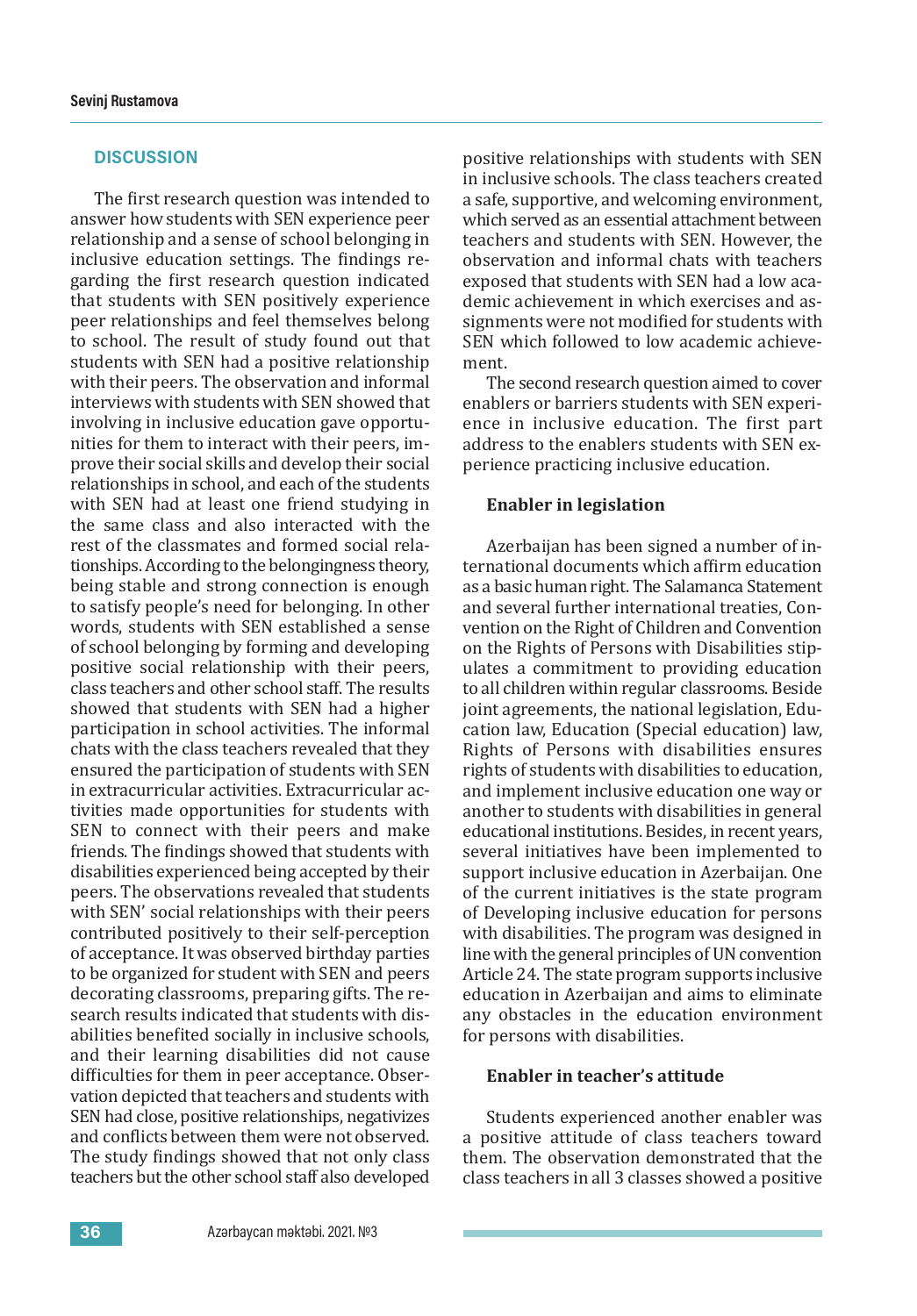#### **DISCUSSION**

The first research question was intended to answer how students with SEN experience peer relationship and a sense of school belonging in inclusive education settings. The findings regarding the first research question indicated that students with SEN positively experience peer relationships and feel themselves belong to school. The result of study found out that students with SEN had a positive relationship with their peers. The observation and informal interviews with students with SEN showed that involving in inclusive education gave opportunities for them to interact with their peers, improve their social skills and develop their social relationships in school, and each of the students with SEN had at least one friend studying in the same class and also interacted with the rest of the classmates and formed social relationships. According to the belongingness theory, being stable and strong connection is enough to satisfy people's need for belonging. In other words, students with SEN established a sense of school belonging by forming and developing positive social relationship with their peers, class teachers and other school staff. The results showed that students with SEN had a higher participation in school activities. The informal chats with the class teachers revealed that they ensured the participation of students with SEN in extracurricular activities. Extracurricular activities made opportunities for students with SEN to connect with their peers and make friends. The findings showed that students with disabilities experienced being accepted by their peers. The observations revealed that students with SEN' social relationships with their peers contributed positively to their self-perception of acceptance. It was observed birthday parties to be organized for student with SEN and peers decorating classrooms, preparing gifts. The research results indicated that students with disabilities benefited socially in inclusive schools, and their learning disabilities did not cause difficulties for them in peer acceptance. Observation depicted that teachers and students with SEN had close, positive relationships, negativizes and conflicts between them were not observed. The study findings showed that not only class teachers but the other school staff also developed

positive relationships with students with SEN in inclusive schools. The class teachers created a safe, supportive, and welcoming environment, which served as an essential attachment between teachers and students with SEN. However, the observation and informal chats with teachers exposed that students with SEN had a low academic achievement in which exercises and assignments were not modified for students with SEN which followed to low academic achievement.

The second research question aimed to cover enablers or barriers students with SEN experience in inclusive education. The first part address to the enablers students with SEN experience practicing inclusive education.

#### **Enabler in legislation**

Azerbaijan has been signed a number of international documents which affirm education as a basic human right. The Salamanca Statement and several further international treaties, Convention on the Right of Children and Convention on the Rights of Persons with Disabilities stipulates a commitment to providing education to all children within regular classrooms. Beside joint agreements, the national legislation, Education law, Education (Special education) law, Rights of Persons with disabilities ensures rights of students with disabilities to education, and implement inclusive education one way or another to students with disabilities in general educational institutions. Besides, in recent years, several initiatives have been implemented to support inclusive education in Azerbaijan. One of the current initiatives is the state program of Developing inclusive education for persons with disabilities. The program was designed in line with the general principles of UN convention Article 24. The state program supports inclusive education in Azerbaijan and aims to eliminate any obstacles in the education environment for persons with disabilities.

## **Enabler in teacher's attitude**

Students experienced another enabler was a positive attitude of class teachers toward them. The observation demonstrated that the class teachers in all 3 classes showed a positive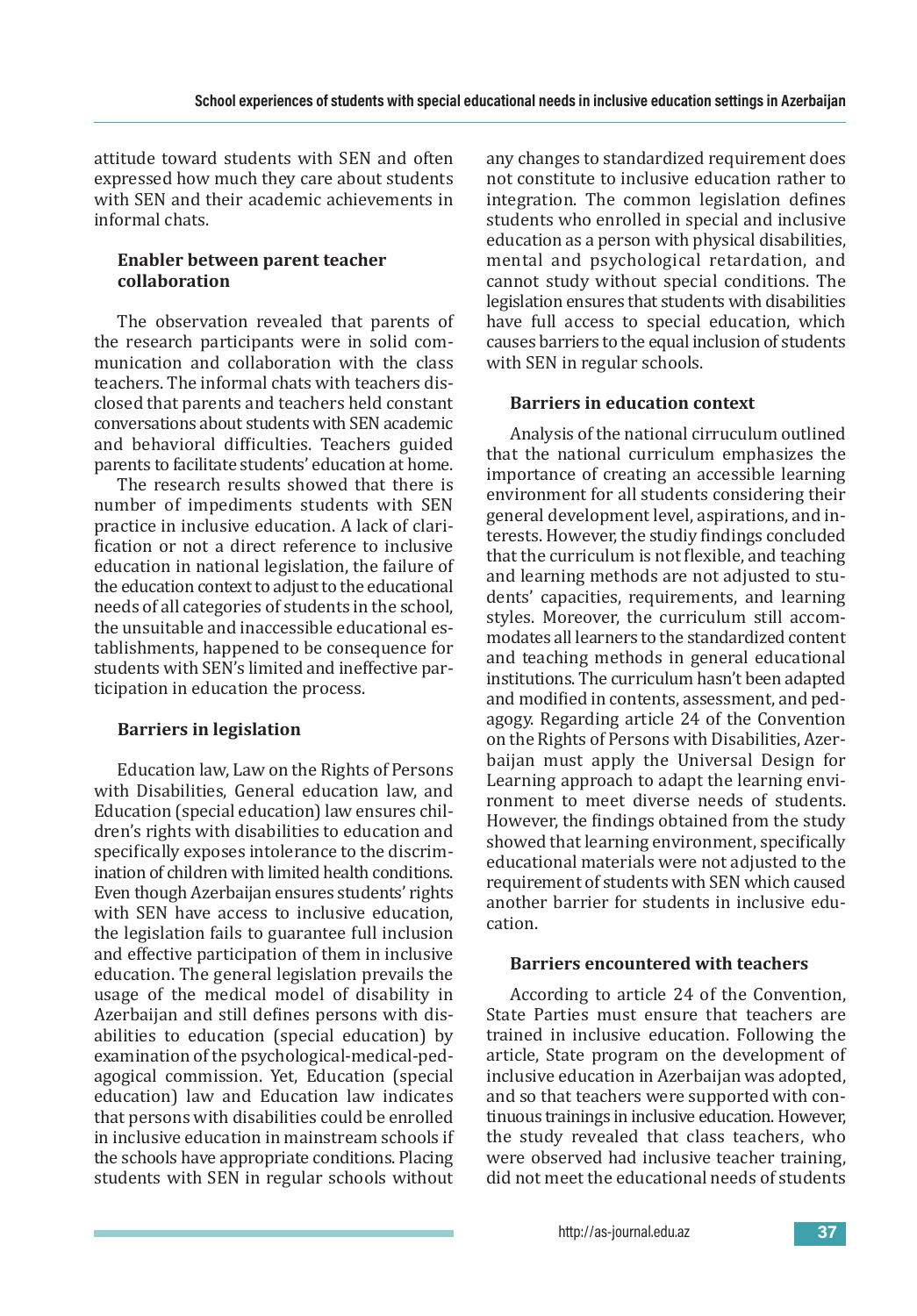attitude toward students with SEN and often expressed how much they care about students with SEN and their academic achievements in informal chats.

## **Enabler between parent teacher collaboration**

The observation revealed that parents of the research participants were in solid communication and collaboration with the class teachers. The informal chats with teachers disclosed that parents and teachers held constant conversations about students with SENacademic and behavioral difficulties. Teachers guided parents to facilitate students' education at home.

The research results showed that there is number of impediments students with SEN practice in inclusive education. A lack of clarification or not a direct reference to inclusive education in national legislation, the failure of the education context to adjust to the educational needs of all categories of students in the school, the unsuitable and inaccessible educational establishments, happened to be consequence for students with SEN's limited and ineffective participation in education the process.

# **Barriers in legislation**

Education law, Law on the Rights of Persons with Disabilities, General education law, and Education (special education) law ensures children's rights with disabilities to education and specifically exposes intolerance to the discrimination of children with limited health conditions. Even though Azerbaijan ensures students' rights with SEN have access to inclusive education, the legislation fails to guarantee full inclusion and effective participation of them in inclusive education. The general legislation prevails the usage of the medical model of disability in Azerbaijan and still defines persons with disabilities to education (special education) by examination of the psychological-medical-pedagogical commission. Yet, Education (special education) law and Education law indicates that persons with disabilities could be enrolled in inclusive education in mainstream schools if the schools have appropriate conditions. Placing students with SEN in regular schools without any changes to standardized requirement does not constitute to inclusive education rather to integration. The common legislation defines students who enrolled in special and inclusive education as a person with physical disabilities, mental and psychological retardation, and cannot study without special conditions. The legislation ensures that students with disabilities have full access to special education, which causes barriers to the equal inclusion of students with SEN in regular schools.

# **Barriers in education context**

Analysis of the national cirruculum outlined that the national curriculum emphasizes the importance of creating an accessible learning environment for all students considering their general development level, aspirations, and interests. However, the studiy findings concluded that the curriculum is not flexible, and teaching and learning methods are not adjusted to students' capacities, requirements, and learning styles. Moreover, the curriculum still accommodates all learners to the standardized content and teaching methods in general educational institutions. The curriculum hasn't been adapted and modified in contents, assessment, and pedagogy. Regarding article 24 of the Convention on the Rights of Persons with Disabilities, Azerbaijan must apply the Universal Design for Learning approach to adapt the learning environment to meet diverse needs of students. However, the findings obtained from the study showed that learning environment, specifically educational materials were not adjusted to the requirement of students with SEN which caused another barrier for students in inclusive education.

# **Barriers encountered with teachers**

According to article 24 of the Convention, State Parties must ensure that teachers are trained in inclusive education. Following the article, State program on the development of inclusive education in Azerbaijan was adopted, and so that teachers were supported with continuous trainings in inclusive education. However, the study revealed that class teachers, who were observed had inclusive teacher training, did not meet the educational needs of students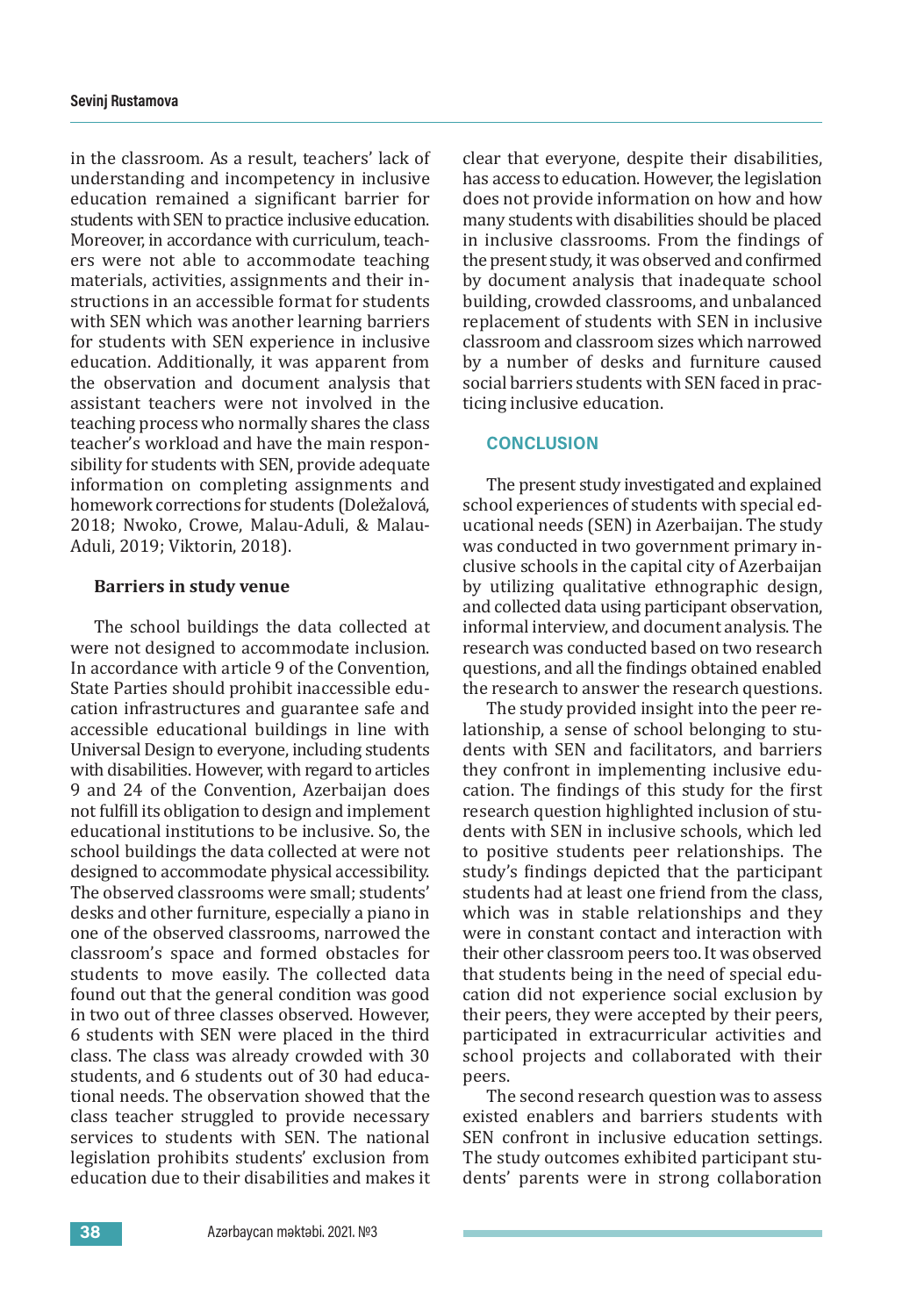in the classroom. As a result, teachers' lack of understanding and incompetency in inclusive education remained a significant barrier for students with SEN to practice inclusive education. Moreover, in accordance with curriculum, teachers were not able to accommodate teaching materials, activities, assignments and their instructions in an accessible format for students with SEN which was another learning barriers for students with SEN experience in inclusive education. Additionally, it was apparent from the observation and document analysis that assistant teachers were not involved in the teaching process who normally shares the class teacher's workload and have the main responsibility for students with SEN, provide adequate information on completing assignments and homework corrections for students (Doležalová, 2018; Nwoko, Crowe, Malau-Aduli, & Malau-Aduli, 2019; Viktorin, 2018).

### **Barriers in study venue**

The school buildings the data collected at were not designed to accommodate inclusion. In accordance with article 9 of the Convention, State Parties should prohibit inaccessible education infrastructures and guarantee safe and accessible educational buildings in line with Universal Design to everyone, including students with disabilities. However, with regard to articles 9 and 24 of the Convention, Azerbaijan does not fulfill its obligation to design and implement educational institutions to be inclusive. So, the school buildings the data collected at were not designed to accommodate physical accessibility. The observed classrooms were small; students' desks and other furniture, especially a piano in one of the observed classrooms, narrowed the classroom's space and formed obstacles for students to move easily. The collected data found out that the general condition was good in two out of three classes observed. However, 6 students with SEN were placed in the third class. The class was already crowded with 30 students, and 6 students out of 30 had educational needs. The observation showed that the class teacher struggled to provide necessary services to students with SEN. The national legislation prohibits students' exclusion from education due to their disabilities and makes it clear that everyone, despite their disabilities, has access to education. However, the legislation does not provide information on how and how many students with disabilities should be placed in inclusive classrooms. From the findings of the present study, it was observed and confirmed by document analysis that inadequate school building, crowded classrooms, and unbalanced replacement of students with SEN in inclusive classroom and classroom sizes which narrowed by a number of desks and furniture caused social barriers students with SEN faced in practicing inclusive education.

#### **CONCLUSION**

The present study investigated and explained school experiences of students with special educational needs (SEN) in Azerbaijan. The study was conducted in two government primary inclusive schools in the capital city of Azerbaijan by utilizing qualitative ethnographic design, and collected data using participant observation, informal interview, and document analysis. The research was conducted based on two research questions, and all the findings obtained enabled the research to answer the research questions.

The study provided insight into the peer relationship, a sense of school belonging to students with SEN and facilitators, and barriers they confront in implementing inclusive education. The findings of this study for the first research question highlighted inclusion of students with SEN in inclusive schools, which led to positive students peer relationships. The study's findings depicted that the participant students had at least one friend from the class, which was in stable relationships and they were in constant contact and interaction with their other classroom peers too. It was observed that students being in the need of special education did not experience social exclusion by their peers, they were accepted by their peers, participated in extracurricular activities and school projects and collaborated with their peers.

The second research question was to assess existed enablers and barriers students with SEN confront in inclusive education settings. The study outcomes exhibited participant students' parents were in strong collaboration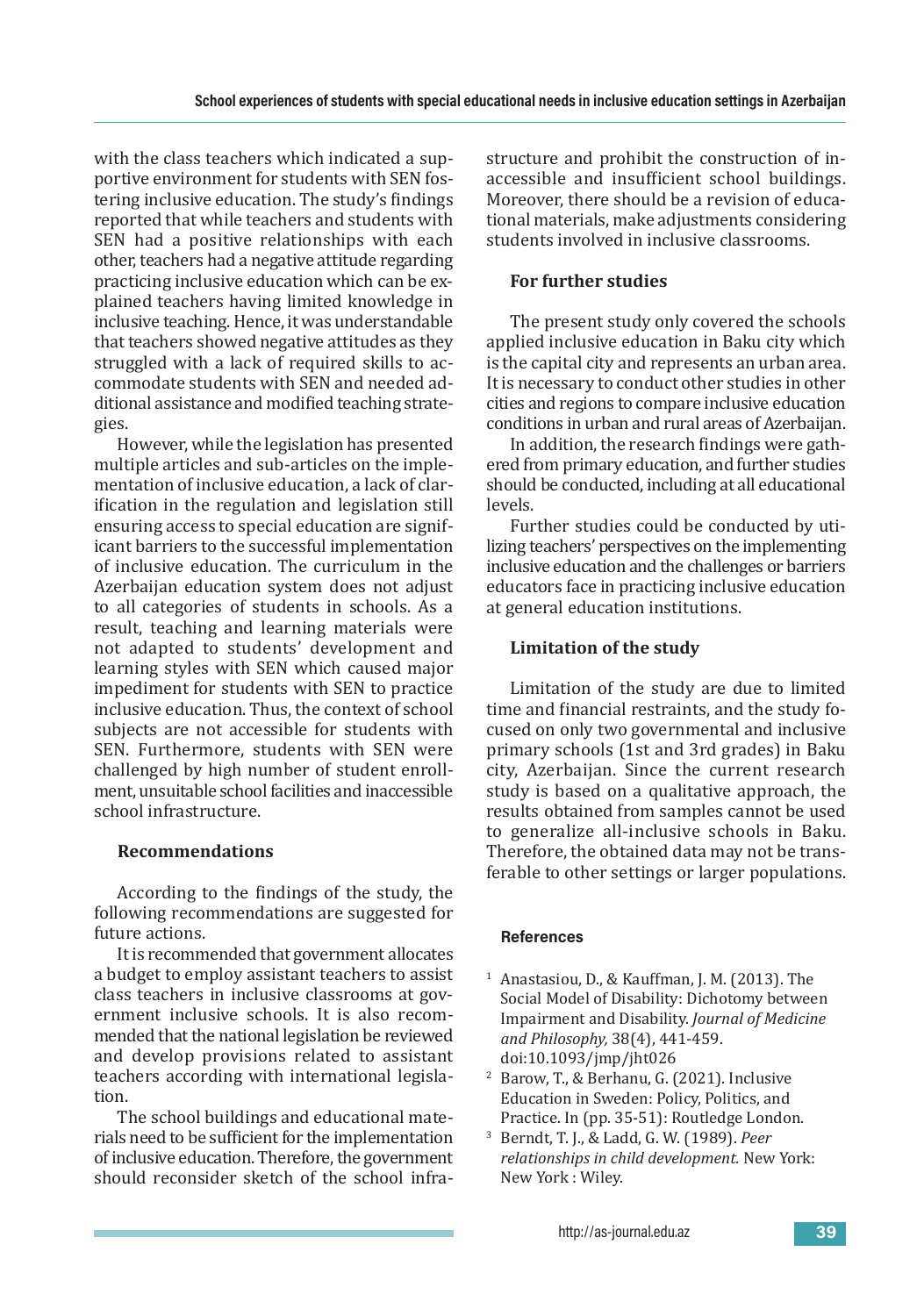with the class teachers which indicated a supportive environment for students with SEN fostering inclusive education. The study's findings reported that while teachers and students with SEN had a positive relationships with each other, teachers had a negative attitude regarding practicing inclusive education which can be explained teachers having limited knowledge in inclusive teaching. Hence, it was understandable that teachers showed negative attitudes as they struggled with a lack of required skills to accommodate students with SEN and needed additional assistance and modified teaching strategies.

However, while the legislation has presented multiple articles and sub-articles on the implementation of inclusive education, a lack of clarification in the regulation and legislation still ensuring access to special education are significant barriers to the successful implementation of inclusive education. The curriculum in the Azerbaijan education system does not adjust to all categories of students in schools. As a result, teaching and learning materials were not adapted to students' development and learning styles with SEN which caused major impediment for students with SEN to practice inclusive education. Thus, the context of school subjects are not accessible for students with SEN. Furthermore, students with SEN were challenged by high number of student enrollment, unsuitable school facilities and inaccessible school infrastructure.

# **Recommendations**

According to the findings of the study, the following recommendations are suggested for future actions.

It is recommended that government allocates a budget to employ assistant teachers to assist class teachers in inclusive classrooms at government inclusive schools. It is also recommended that the national legislation be reviewed and develop provisions related to assistant teachers according with international legislation.

The school buildings and educational materials need to be sufficient for the implementation of inclusive education. Therefore, the government should reconsider sketch of the school infrastructure and prohibit the construction of inaccessible and insufficient school buildings. Moreover, there should be a revision of educational materials, make adjustments considering students involved in inclusive classrooms.

# **For further studies**

The present study only covered the schools applied inclusive education in Baku city which is the capital city and represents an urban area. It is necessary to conduct other studies in other cities and regions to compare inclusive education conditions in urban and rural areas of Azerbaijan.

In addition, the research findings were gathered from primary education, and further studies should be conducted, including at all educational levels.

Further studies could be conducted by utilizing teachers' perspectives on the implementing inclusive education and the challenges or barriers educators face in practicing inclusive education at general education institutions.

# **Limitation of the study**

Limitation of the study are due to limited time and financial restraints, and the study focused on only two governmental and inclusive primary schools (1st and 3rd grades) in Baku city, Azerbaijan. Since the current research study is based on a qualitative approach, the results obtained from samples cannot be used to generalize all-inclusive schools in Baku. Therefore, the obtained data may not be transferable to other settings or larger populations.

## **References**

- $1$  Anastasiou, D., & Kauffman, J. M. (2013). The Social Model of Disability: Dichotomy between Impairment and Disability. *Journal of Medicine and Philosophy,* 38(4), 441-459. doi:10.1093/jmp/jht026
- <sup>2</sup> Barow, T., & Berhanu, G. (2021). Inclusive Education in Sweden: Policy, Politics, and Practice. In (pp. 35-51): Routledge London.
- <sup>3</sup> Berndt, T. J., & Ladd, G. W. (1989). *Peer relationships in child development.* New York: New York : Wiley.